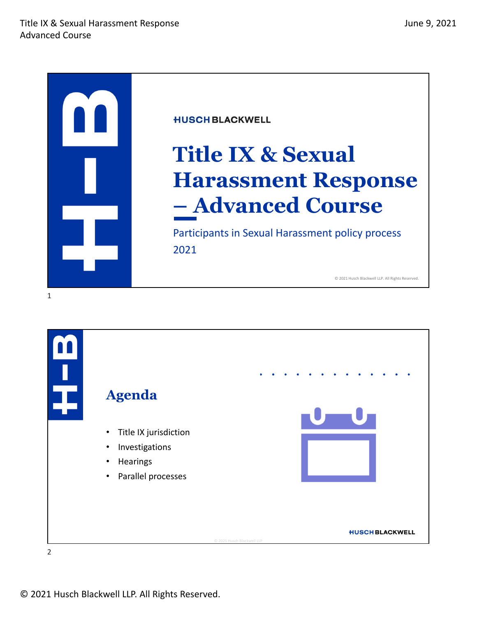

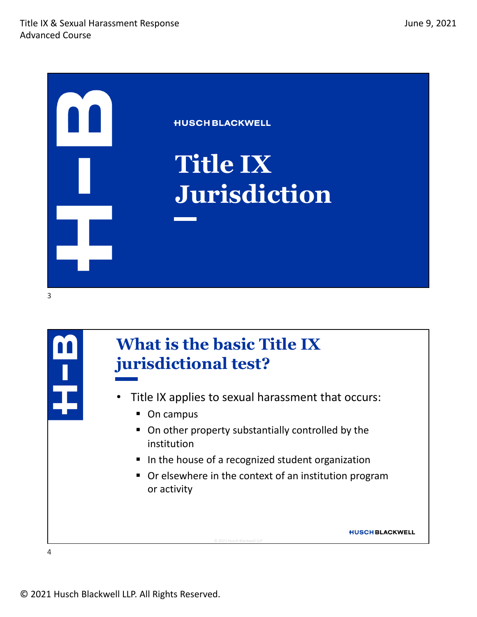



#### **What is the basic Title IX jurisdictional test?**

- Title IX applies to sexual harassment that occurs:
	- On campus
	- On other property substantially controlled by the institution
	- In the house of a recognized student organization

© 2021 Husch Blackwell LLP

 Or elsewhere in the context of an institution program or activity

**HUSCH BLACKWELL**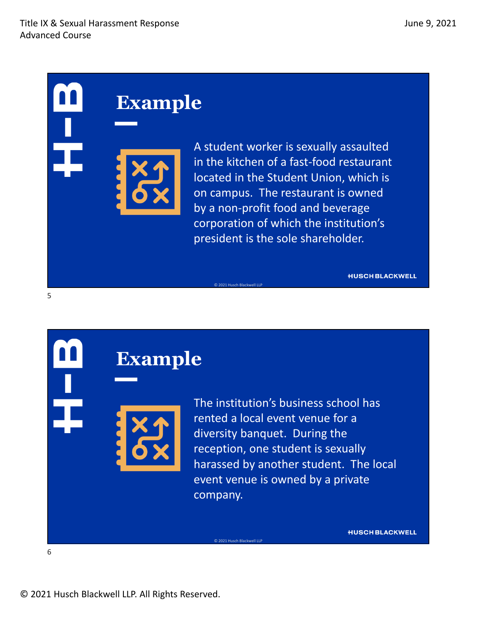A student worker is sexually assaulted in the kitchen of a fast‐food restaurant located in the Student Union, which is on campus. The restaurant is owned by a non‐profit food and beverage corporation of which the institution's president is the sole shareholder.

© 2021 Husch Blackwell LLP

© 2021 Husch Blackwell LLP

**HUSCH BLACKWELL** 

**Example** 

rented a local event venue for a diversity banquet. During the reception, one student is sexually harassed by another student. The local event venue is owned by a private company.

The institution's business school has

**HUSCH BLACKWELL** 

6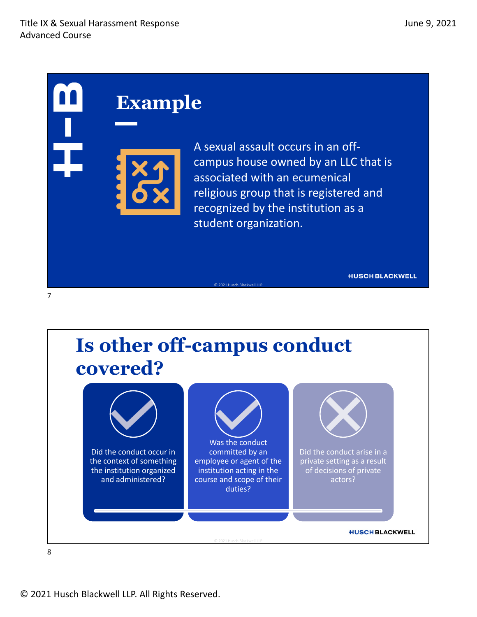A sexual assault occurs in an off‐ campus house owned by an LLC that is associated with an ecumenical religious group that is registered and recognized by the institution as a student organization.

**HUSCH BLACKWELL** 



© 2021 Husch Blackwell LLP

8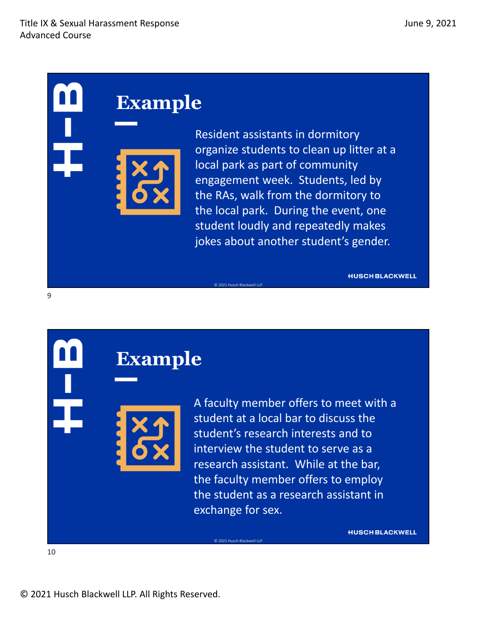Resident assistants in dormitory organize students to clean up litter at a local park as part of community engagement week. Students, led by the RAs, walk from the dormitory to the local park. During the event, one student loudly and repeatedly makes jokes about another student's gender.

© 2021 Husch Blackwell LLP

© 2021 Husch Blackwell LLP

**HUSCH BLACKWELL** 

### **Example**

A faculty member offers to meet with a student at a local bar to discuss the student's research interests and to interview the student to serve as a research assistant. While at the bar, the faculty member offers to employ the student as a research assistant in exchange for sex.

**HUSCH BLACKWELL** 

10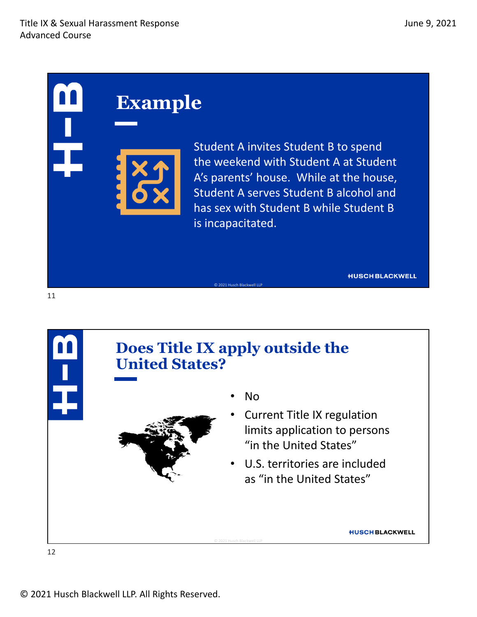Student A invites Student B to spend the weekend with Student A at Student A's parents' house. While at the house, Student A serves Student B alcohol and has sex with Student B while Student B is incapacitated.

**HUSCH BLACKWELL** 



© 2021 Husch Blackwell LLP

12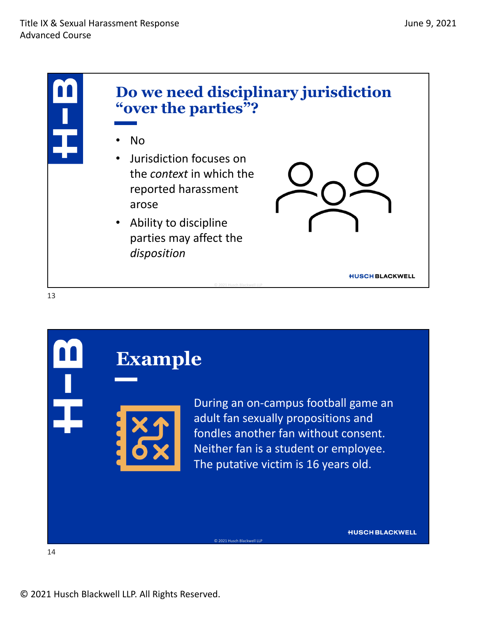





During an on‐campus football game an adult fan sexually propositions and fondles another fan without consent. Neither fan is a student or employee. The putative victim is 16 years old.

**HUSCH BLACKWELL**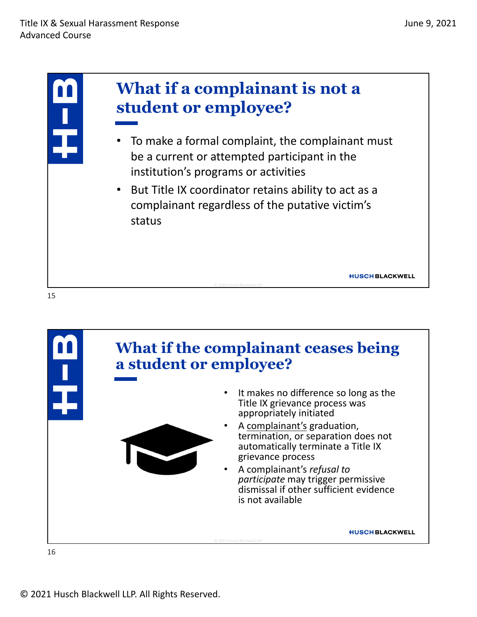



© 2021 Husch Blackwell LLP. All Rights Reserved.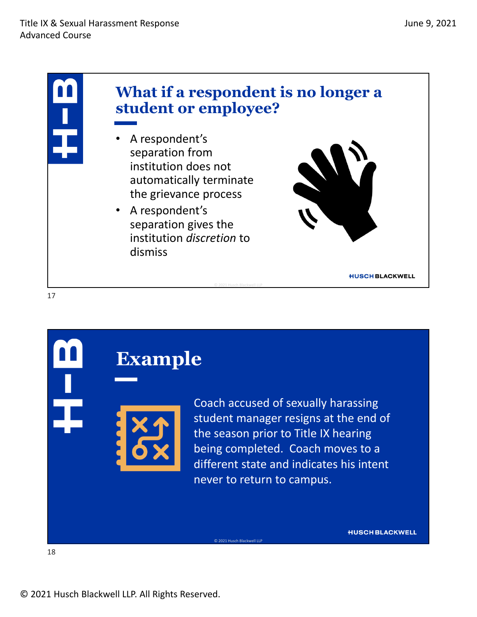

## **Example**

Coach accused of sexually harassing student manager resigns at the end of the season prior to Title IX hearing being completed. Coach moves to a different state and indicates his intent never to return to campus.

**HUSCH BLACKWELL**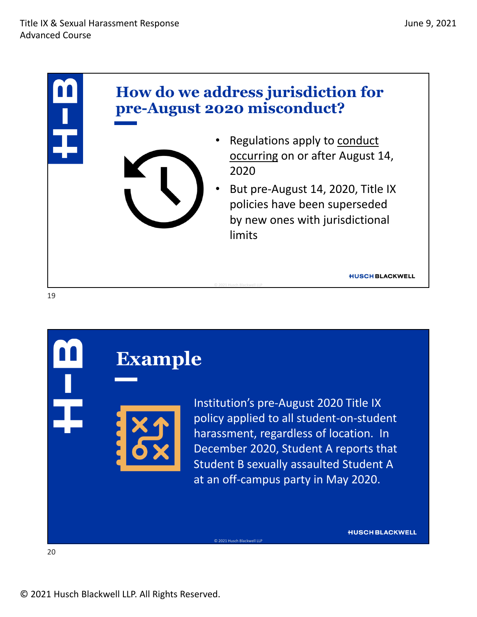

### **Example**

Institution's pre‐August 2020 Title IX policy applied to all student‐on‐student harassment, regardless of location. In December 2020, Student A reports that Student B sexually assaulted Student A at an off‐campus party in May 2020.

**HUSCH BLACKWELL**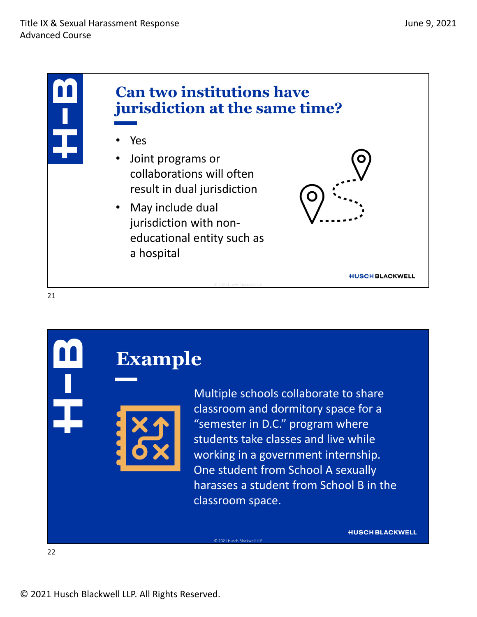

## **Example**

Multiple schools collaborate to share classroom and dormitory space for a "semester in D.C." program where students take classes and live while working in a government internship. One student from School A sexually harasses a student from School B in the classroom space.

**HUSCH BLACKWELL**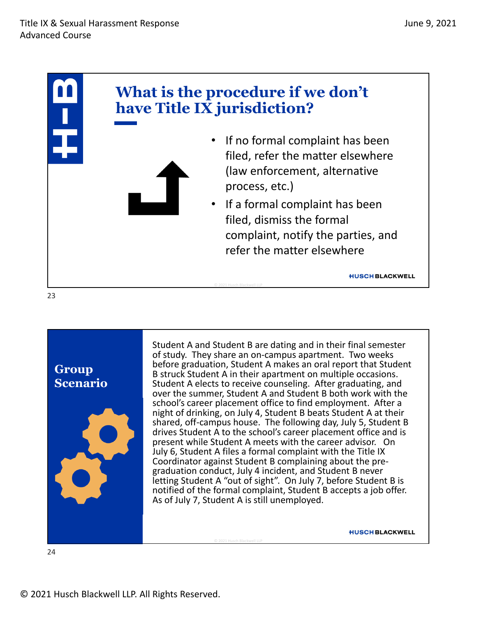



Student A and Student B are dating and in their final semester of study. They share an on‐campus apartment. Two weeks before graduation, Student A makes an oral report that Student<br>B struck Student A in their apartment on multiple occasions. Student A elects to receive counseling. After graduating, and over the summer, Student A and Student B both work with the school's career placement office to find employment. After a night of drinking, on July 4, Student B beats Student A at their shared, off-campus house. The following day, July 5, Student B drives Student A to the school's career placement office and is present while Student A meets with the career advisor. On July 6, Student A files a formal complaint with the Title IX graduation conduct, July 4 incident, and Student B never letting Student A "out of sight". On July 7, before Student B is notified of the formal complaint, Student B accepts a job offer.<br>As of July 7, Student A is still unemployed.

© 2021 Husch Blackwell LLP

**HUSCH BLACKWELL**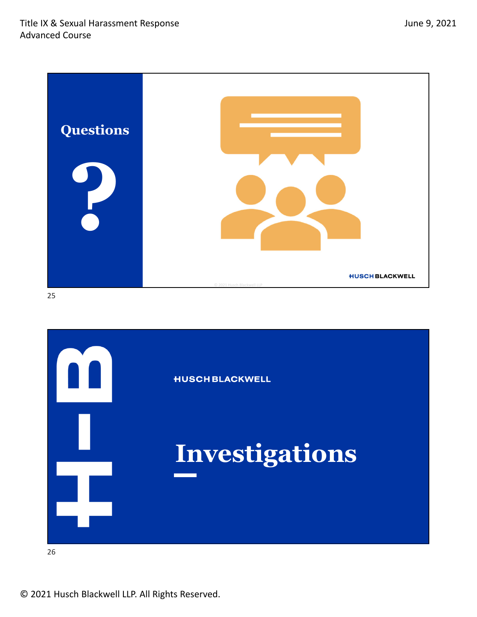

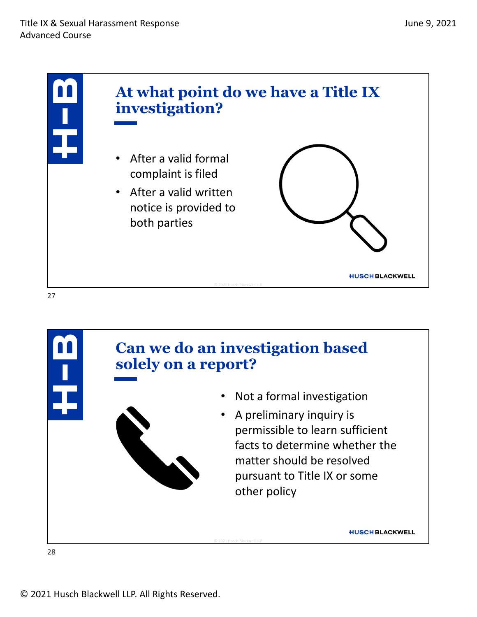



© 2021 Husch Blackwell LLP. All Rights Reserved.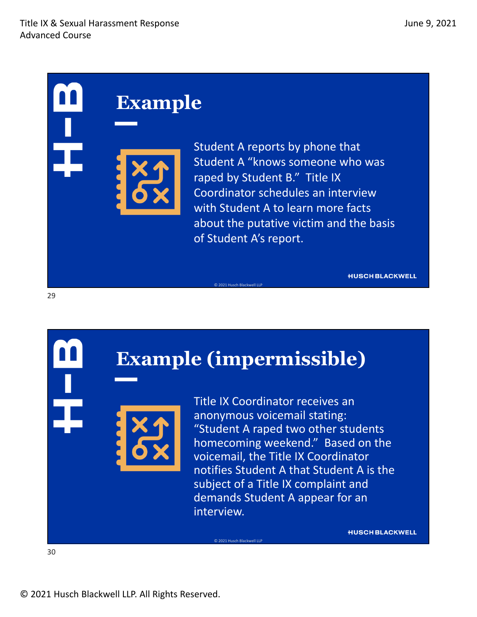Student A reports by phone that Student A "knows someone who was raped by Student B." Title IX Coordinator schedules an interview with Student A to learn more facts about the putative victim and the basis of Student A's report.

**HUSCH BLACKWELL** 

## **Example (impermissible)**

© 2021 Husch Blackwell LLP

© 2021 Husch Blackwell LLP

Title IX Coordinator receives an anonymous voicemail stating: "Student A raped two other students homecoming weekend." Based on the voicemail, the Title IX Coordinator notifies Student A that Student A is the subject of a Title IX complaint and demands Student A appear for an interview.

**HUSCH BLACKWELL** 

29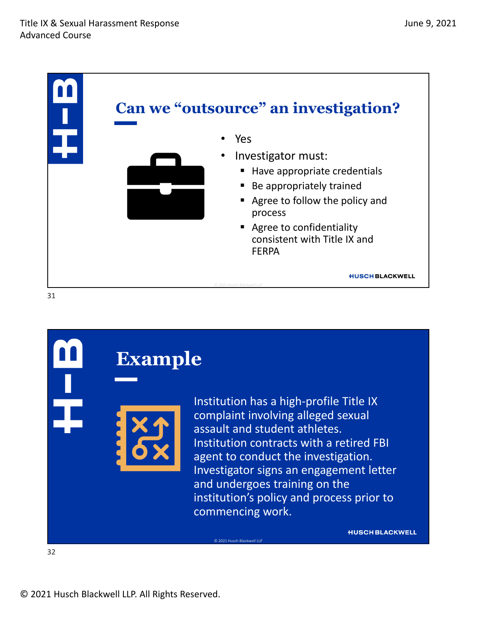

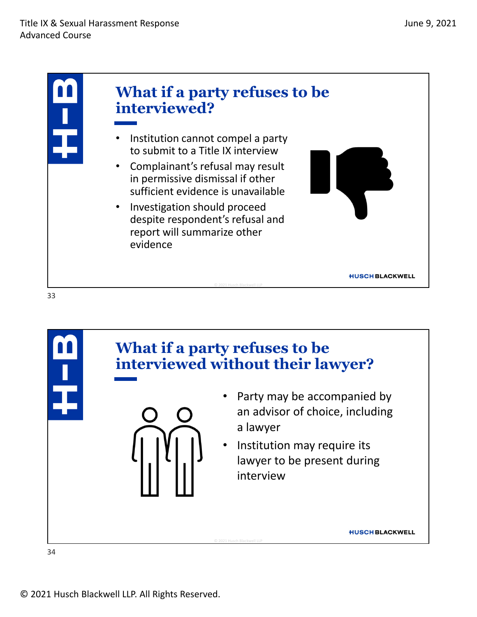

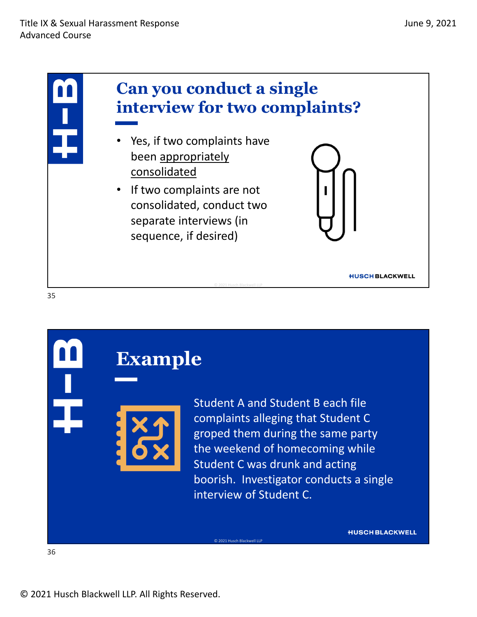

## **Example**

Student A and Student B each file complaints alleging that Student C groped them during the same party the weekend of homecoming while Student C was drunk and acting boorish. Investigator conducts a single interview of Student C.

**HUSCH BLACKWELL**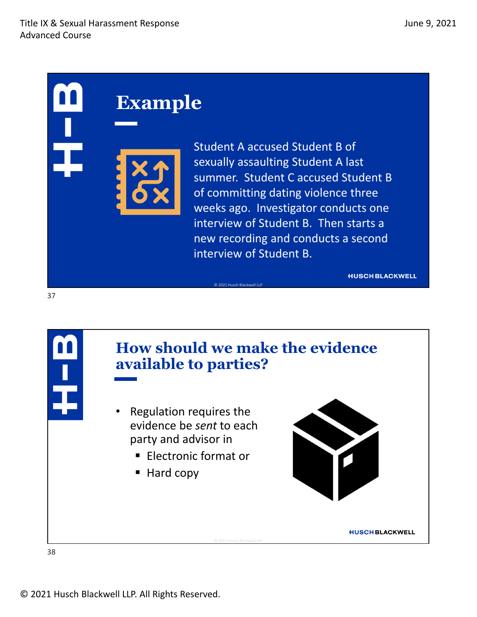Student A accused Student B of sexually assaulting Student A last summer. Student C accused Student B of committing dating violence three weeks ago. Investigator conducts one interview of Student B. Then starts a new recording and conducts a second interview of Student B.

```
HUSCH BLACKWELL
```


© 2021 Husch Blackwell LLP

38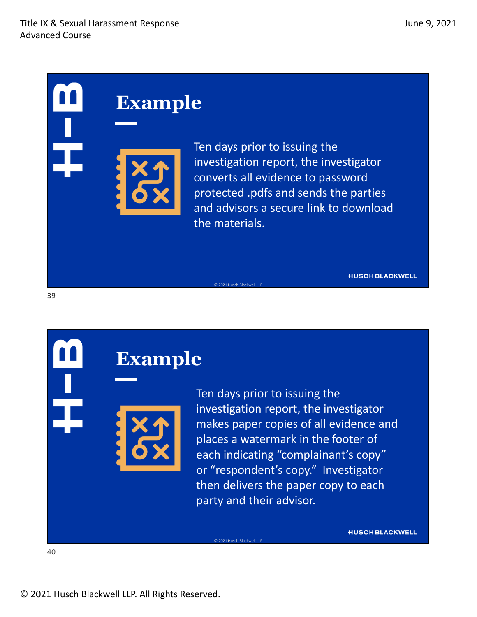

Ten days prior to issuing the investigation report, the investigator converts all evidence to password protected .pdfs and sends the parties and advisors a secure link to download the materials.

© 2021 Husch Blackwell LLP

© 2021 Husch Blackwell LLP

**HUSCH BLACKWELL** 

# **Example**

Ten days prior to issuing the investigation report, the investigator makes paper copies of all evidence and places a watermark in the footer of each indicating "complainant's copy" or "respondent's copy." Investigator then delivers the paper copy to each party and their advisor.

**HUSCH BLACKWELL** 

40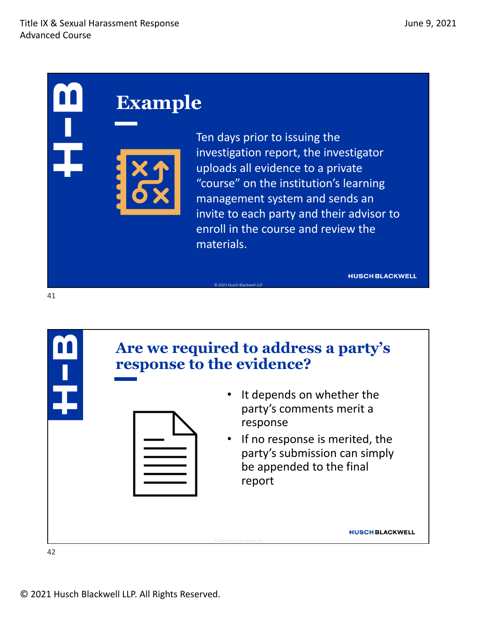### **Example**

Ten days prior to issuing the investigation report, the investigator uploads all evidence to a private "course" on the institution's learning management system and sends an invite to each party and their advisor to enroll in the course and review the materials.

**HUSCH BLACKWELL** 



© 2021 Husch Blackwell LLP

© 2021 Husch Blackwell LLP. All Rights Reserved.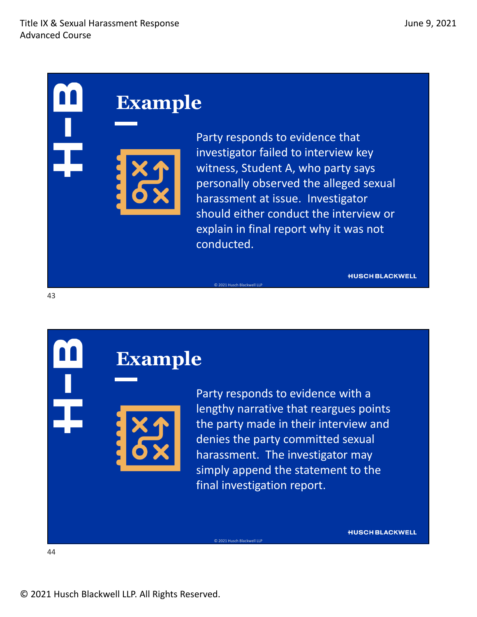Party responds to evidence that investigator failed to interview key witness, Student A, who party says personally observed the alleged sexual harassment at issue. Investigator should either conduct the interview or explain in final report why it was not conducted.

© 2021 Husch Blackwell LLP

© 2021 Husch Blackwell LLP

**HUSCH BLACKWELL** 

**HUSCH BLACKWELL** 

### **Example**

Party responds to evidence with a lengthy narrative that reargues points the party made in their interview and denies the party committed sexual harassment. The investigator may simply append the statement to the final investigation report.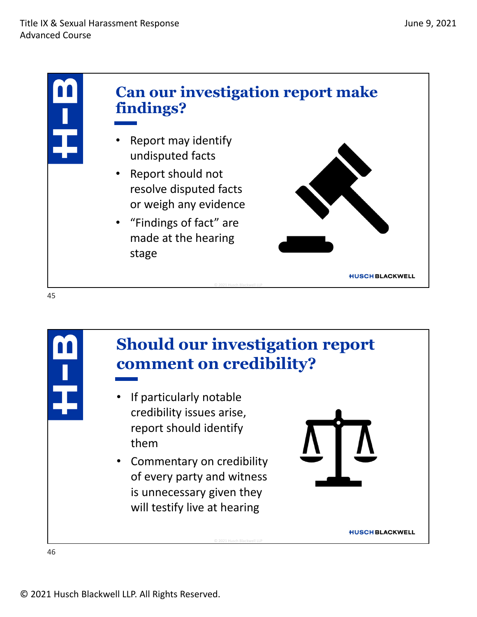

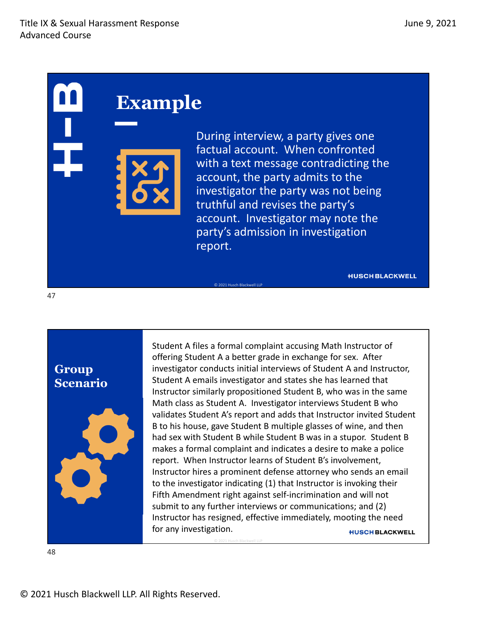During interview, a party gives one factual account. When confronted with a text message contradicting the account, the party admits to the investigator the party was not being truthful and revises the party's account. Investigator may note the party's admission in investigation report.

© 2021 Husch Blackwell LLP

© 2021 Husch Blackwell LLP

**HUSCH BLACKWELL** 

**Group Scenario**

47



Student A files a formal complaint accusing Math Instructor of offering Student A a better grade in exchange for sex. After investigator conducts initial interviews of Student A and Instructor, Student A emails investigator and states she has learned that Instructor similarly propositioned Student B, who was in the same Math class as Student A. Investigator interviews Student B who validates Student A's report and adds that Instructor invited Student B to his house, gave Student B multiple glasses of wine, and then had sex with Student B while Student B was in a stupor. Student B makes a formal complaint and indicates a desire to make a police report. When Instructor learns of Student B's involvement, Instructor hires a prominent defense attorney who sends an email to the investigator indicating (1) that Instructor is invoking their Fifth Amendment right against self‐incrimination and will not submit to any further interviews or communications; and (2) Instructor has resigned, effective immediately, mooting the need for any investigation. **HUSCH BLACKWELL**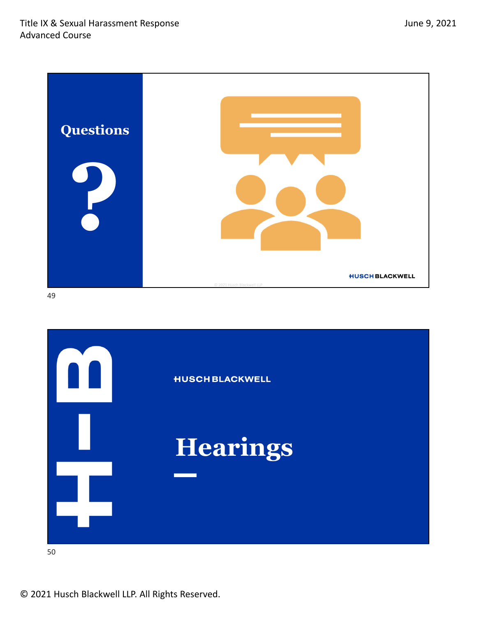

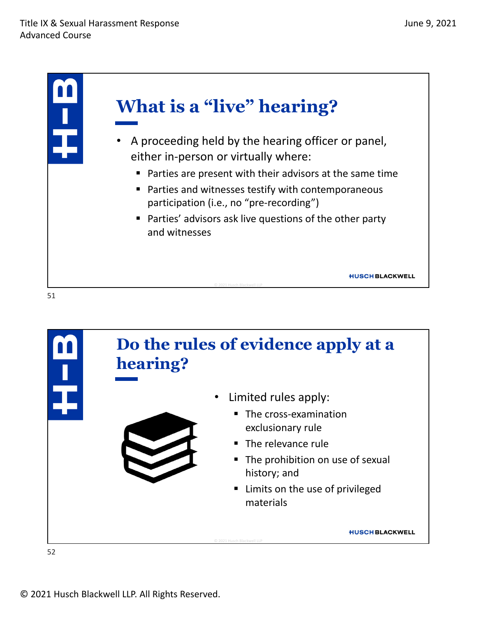



© 2021 Husch Blackwell LLP. All Rights Reserved.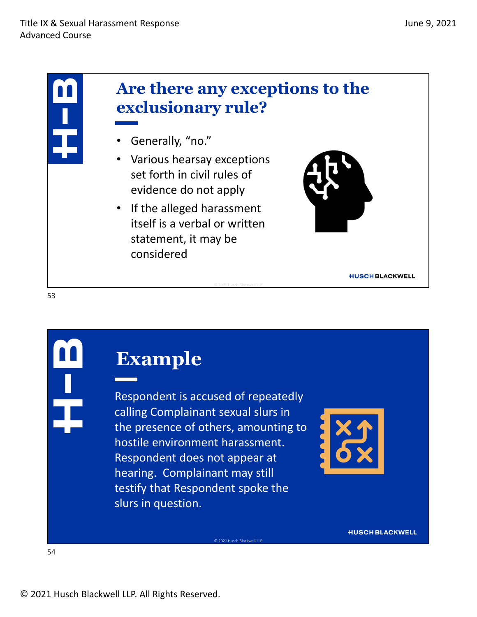

Respondent is accused of repeatedly calling Complainant sexual slurs in the presence of others, amounting to hostile environment harassment. Respondent does not appear at hearing. Complainant may still testify that Respondent spoke the slurs in question.

© 2021 Husch Blackwell LLP



**HUSCH BLACKWELL**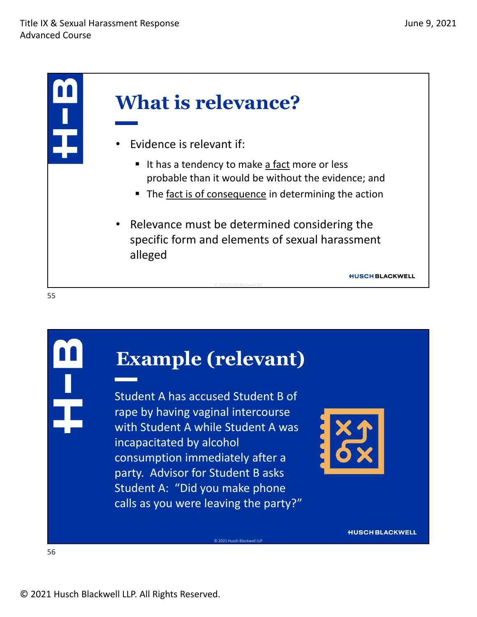

```
55
```
## **Example (relevant)**

Student A has accused Student B of rape by having vaginal intercourse with Student A while Student A was incapacitated by alcohol consumption immediately after a party. Advisor for Student B asks Student A: "Did you make phone calls as you were leaving the party?"

© 2021 Husch Blackwell LLP

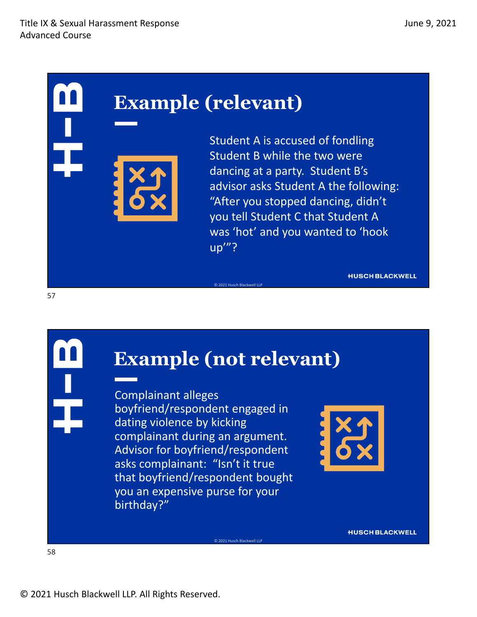## **Example (relevant)**

Student A is accused of fondling Student B while the two were dancing at a party. Student B's advisor asks Student A the following: "After you stopped dancing, didn't you tell Student C that Student A was 'hot' and you wanted to 'hook up'"?

**HUSCH BLACKWELL** 

## **Example (not relevant)**

© 2021 Husch Blackwell LLP

© 2021 Husch Blackwell LLP

Complainant alleges boyfriend/respondent engaged in dating violence by kicking complainant during an argument. Advisor for boyfriend/respondent asks complainant: "Isn't it true that boyfriend/respondent bought you an expensive purse for your birthday?"

**HUSCH BLACKWELL**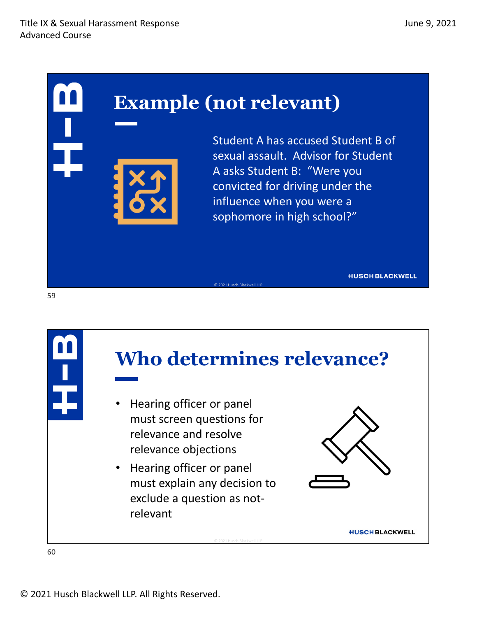## **Example (not relevant)**

Student A has accused Student B of sexual assault. Advisor for Student A asks Student B: "Were you convicted for driving under the influence when you were a sophomore in high school?"

**HUSCH BLACKWELL** 



© 2021 Husch Blackwell LLP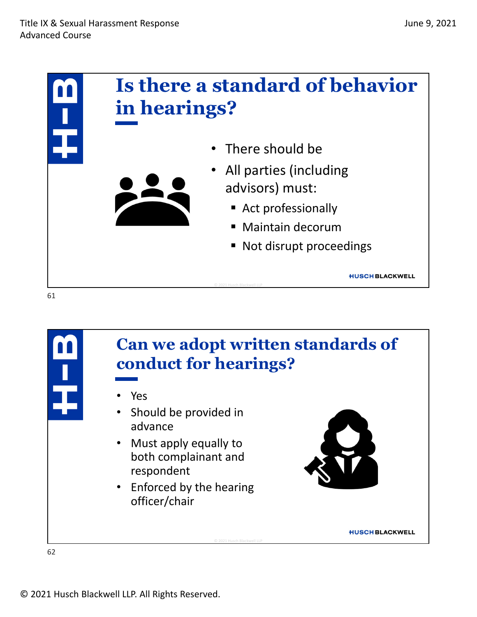



© 2021 Husch Blackwell LLP. All Rights Reserved.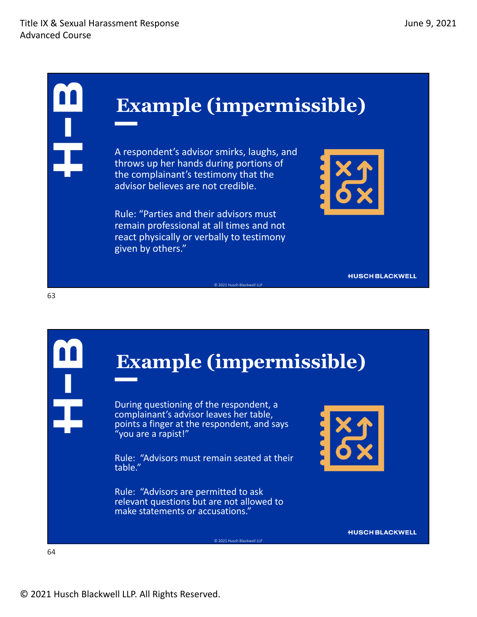## **Example (impermissible)**

A respondent's advisor smirks, laughs, and throws up her hands during portions of the complainant's testimony that the advisor believes are not credible.

Rule: "Parties and their advisors must remain professional at all times and not react physically or verbally to testimony given by others."



**HUSCH BLACKWELL** 

## **Example (impermissible)**

© 2021 Husch Blackwell LLP

© 2021 Husch Blackwell LLP

During questioning of the respondent, a complainant's advisor leaves her table, points a finger at the respondent, and says "you are a rapist!"

Rule: "Advisors must remain seated at their table."

Rule: "Advisors are permitted to ask relevant questions but are not allowed to make statements or accusations."



**HUSCH BLACKWELL**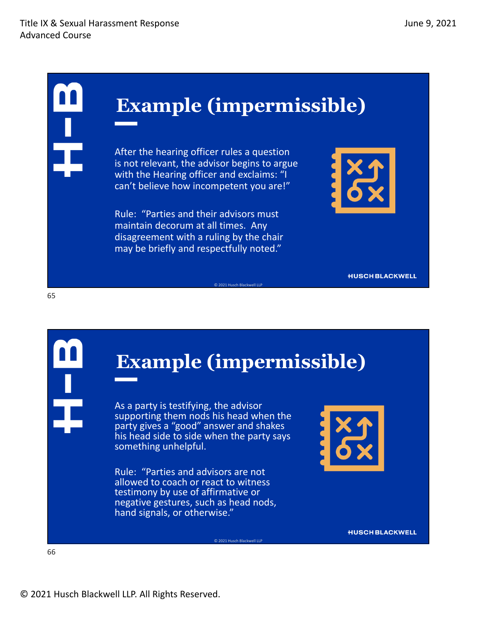## **Example (impermissible)**

After the hearing officer rules a question is not relevant, the advisor begins to argue with the Hearing officer and exclaims: "I can't believe how incompetent you are!"

Rule: "Parties and their advisors must maintain decorum at all times. Any disagreement with a ruling by the chair may be briefly and respectfully noted."



**HUSCH BLACKWELL** 

## **Example (impermissible)**

© 2021 Husch Blackwell LLP

© 2021 Husch Blackwell LLP

As a party is testifying, the advisor supporting them nods his head when the party gives a "good" answer and shakes his head side to side when the party says something unhelpful.

Rule: "Parties and advisors are not allowed to coach or react to witness testimony by use of affirmative or negative gestures, such as head nods, hand signals, or otherwise."



**HUSCH BLACKWELL**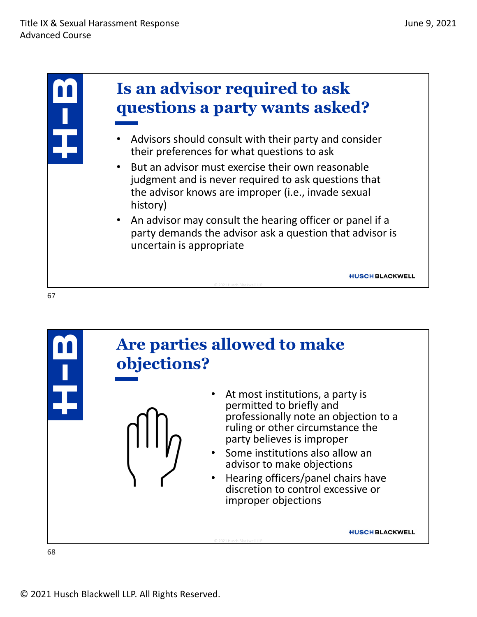

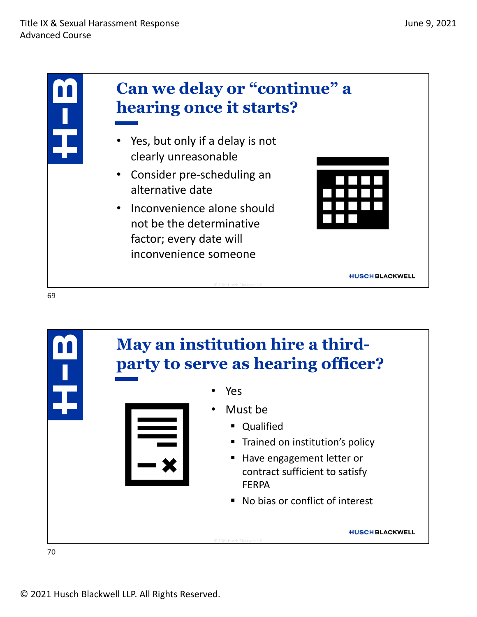



© 2021 Husch Blackwell LLP. All Rights Reserved.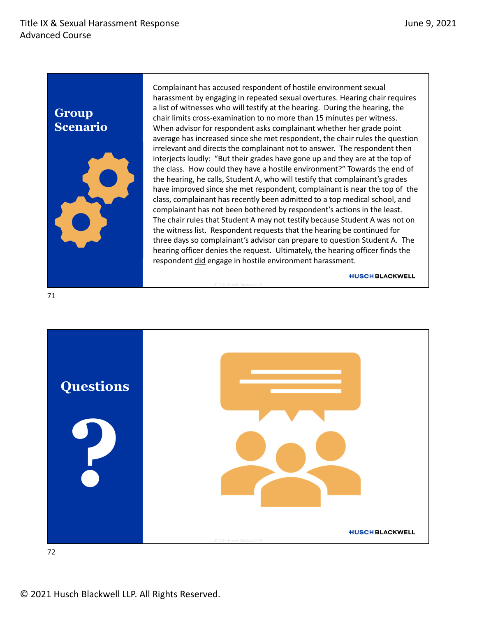#### **Group Scenario**



Complainant has accused respondent of hostile environment sexual harassment by engaging in repeated sexual overtures. Hearing chair requires a list of witnesses who will testify at the hearing. During the hearing, the chair limits cross‐examination to no more than 15 minutes per witness. When advisor for respondent asks complainant whether her grade point average has increased since she met respondent, the chair rules the question irrelevant and directs the complainant not to answer. The respondent then interjects loudly: "But their grades have gone up and they are at the top of the class. How could they have a hostile environment?" Towards the end of the hearing, he calls, Student A, who will testify that complainant's grades have improved since she met respondent, complainant is near the top of the class, complainant has recently been admitted to a top medical school, and complainant has not been bothered by respondent's actions in the least. The chair rules that Student A may not testify because Student A was not on the witness list. Respondent requests that the hearing be continued for three days so complainant's advisor can prepare to question Student A. The hearing officer denies the request. Ultimately, the hearing officer finds the respondent did engage in hostile environment harassment.

**HUSCH BLACKWELL** 



© 2021 Husch Blackwell LLP

72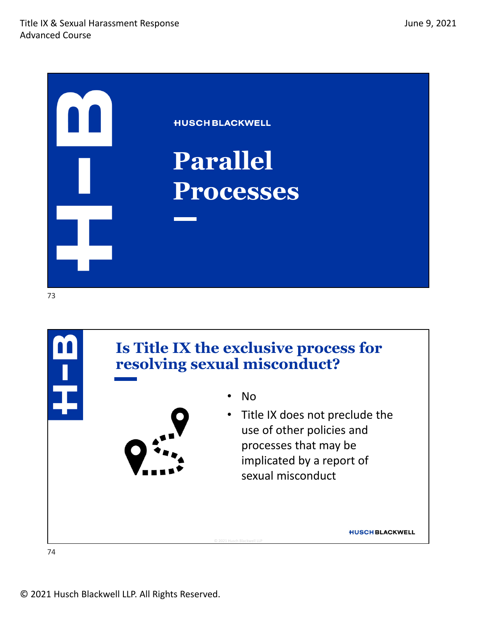

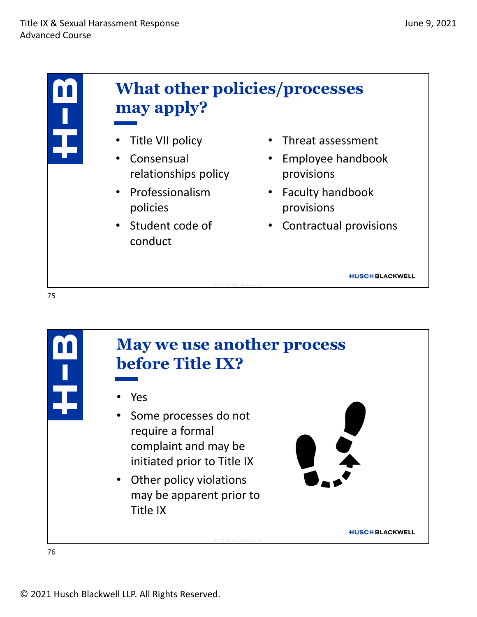

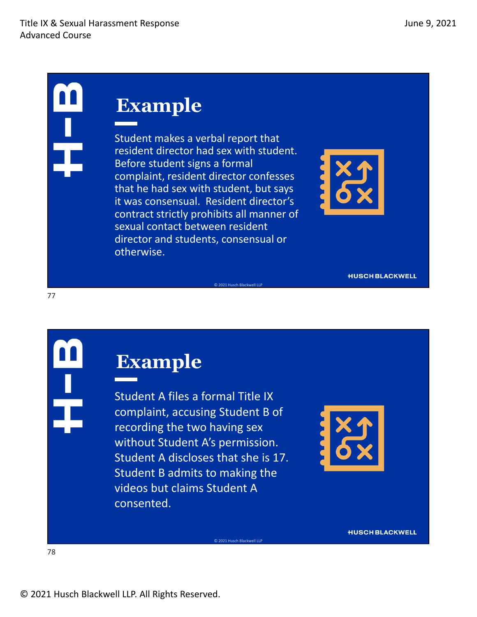Student makes a verbal report that resident director had sex with student. Before student signs a formal complaint, resident director confesses that he had sex with student, but says it was consensual. Resident director's contract strictly prohibits all manner of sexual contact between resident director and students, consensual or otherwise.

© 2021 Husch Blackwell LLP

© 2021 Husch Blackwell LLP



**HUSCH BLACKWELL** 

#### **Example**

Student A files a formal Title IX complaint, accusing Student B of recording the two having sex without Student A's permission. Student A discloses that she is 17. Student B admits to making the videos but claims Student A consented.



**HUSCH BLACKWELL**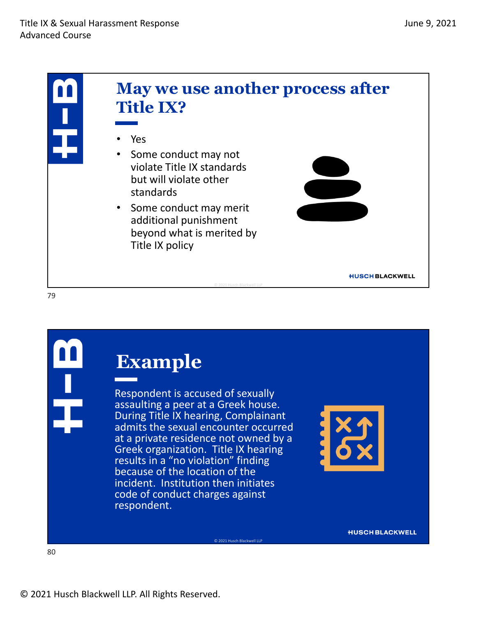





Respondent is accused of sexually<br>assaulting a peer at a Greek house. During Title IX hearing, Complainant admits the sexual encounter occurred at a private residence not owned by a Greek organization. Title IX hearing results in a "no violation" finding because of the location of the incident. Institution then initiates code of conduct charges against respondent.

© 2021 Husch Blackwell LLP

**HUSCH BLACKWELL**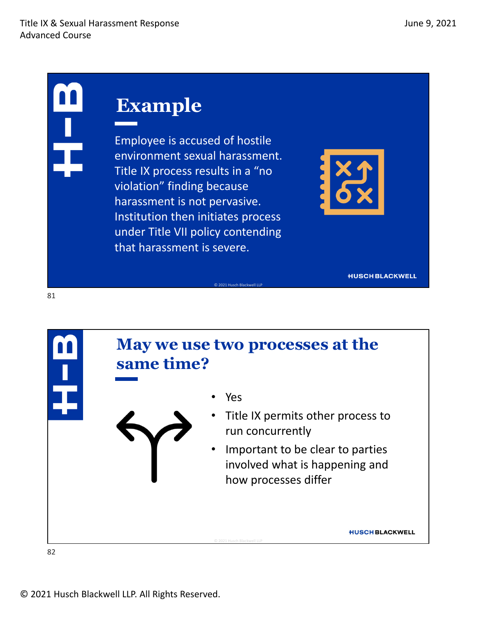## **Example**

Employee is accused of hostile environment sexual harassment. Title IX process results in a "no violation" finding because harassment is not pervasive. Institution then initiates process under Title VII policy contending that harassment is severe.



**HUSCH BLACKWELL** 



© 2021 Husch Blackwell LLP

© 2021 Husch Blackwell LLP. All Rights Reserved.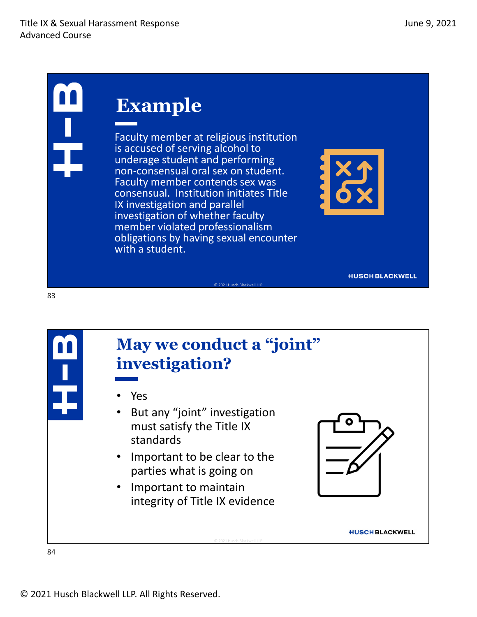Faculty member at religious institution is accused of serving alcohol to underage student and performing non‐consensual oral sex on student. Faculty member contends sex was consensual. Institution initiates Title IX investigation and parallel investigation of whether faculty member violated professionalism obligations by having sexual encounter with a student.



**HUSCH BLACKWELL** 



83

#### **May we conduct a "joint" investigation?**

© 2021 Husch Blackwell LLP

© 2021 Husch Blackwell LLP

- Yes
- But any "joint" investigation must satisfy the Title IX standards
- Important to be clear to the parties what is going on
- Important to maintain integrity of Title IX evidence



**HUSCH BLACKWELL**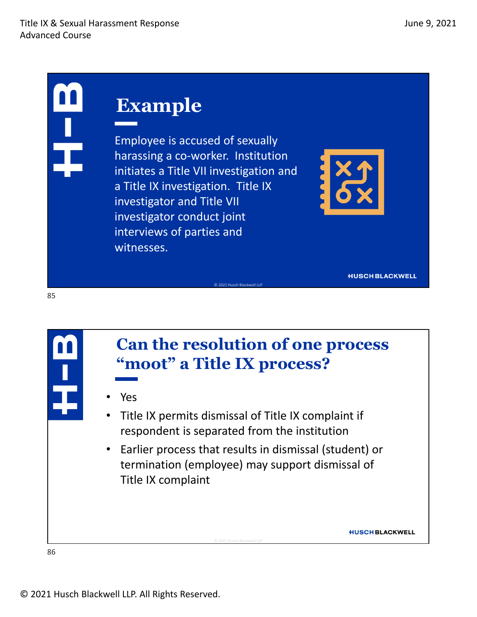Employee is accused of sexually harassing a co‐worker. Institution initiates a Title VII investigation and a Title IX investigation. Title IX investigator and Title VII investigator conduct joint interviews of parties and witnesses.



**HUSCH BLACKWELL** 

**HUSCH BLACKWELL** 

86

85

#### **Can the resolution of one process "moot" a Title IX process?**

© 2021 Husch Blackwell LLP

- Yes
- Title IX permits dismissal of Title IX complaint if respondent is separated from the institution
- Earlier process that results in dismissal (student) or termination (employee) may support dismissal of Title IX complaint

© 2021 Husch Blackwell LLP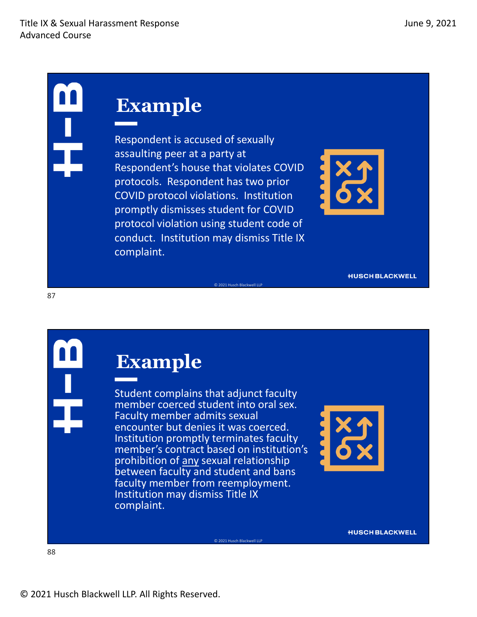Respondent is accused of sexually assaulting peer at a party at Respondent's house that violates COVID protocols. Respondent has two prior COVID protocol violations. Institution promptly dismisses student for COVID protocol violation using student code of conduct. Institution may dismiss Title IX complaint.

© 2021 Husch Blackwell LLP



**HUSCH BLACKWELL** 

### **Example**

Student complains that adjunct faculty member coerced student into oral sex.<br>
Faculty member admits sexual<br>
encounter but denies it was coerced. Institution promptly terminates faculty member's contract based on institution's prohibition of any sexual relationship between faculty and student and bans faculty member from reemployment.<br>Institution may dismiss Title IX complaint.

© 2021 Husch Blackwell LLP

**HUSCH BLACKWELL**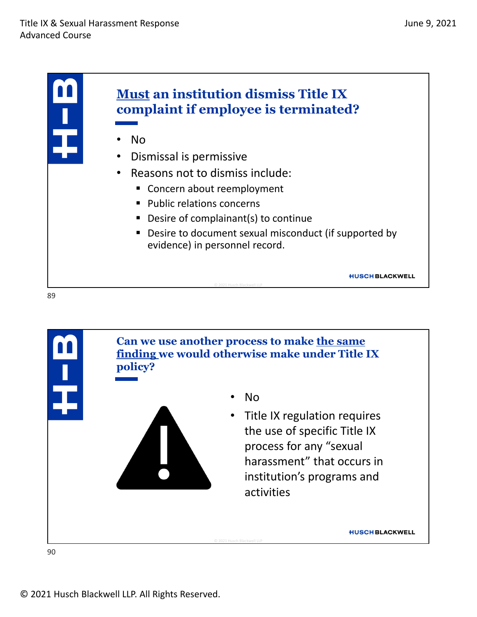

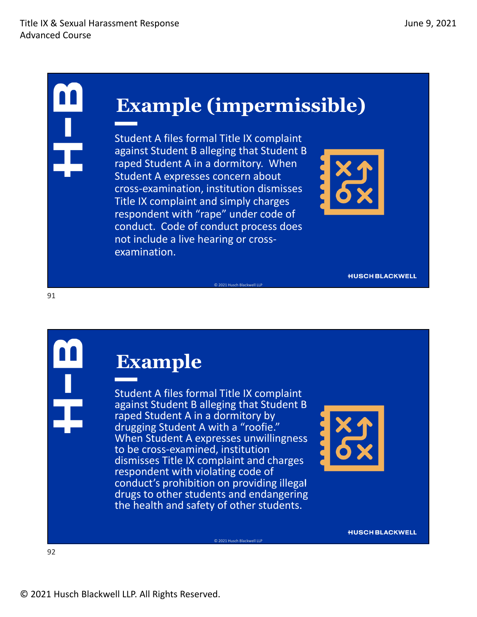## **Example (impermissible)**

© 2021 Husch Blackwell LLP

Student A files formal Title IX complaint against Student B alleging that Student B raped Student A in a dormitory. When Student A expresses concern about cross‐examination, institution dismisses Title IX complaint and simply charges respondent with "rape" under code of conduct. Code of conduct process does not include a live hearing or cross‐ examination.



**HUSCH BLACKWELL** 

#### **Example**

Student A files formal Title IX complaint against Student B alleging that Student B raped Student A in a dormitory by drugging Student <sup>A</sup> with <sup>a</sup> "roofie." When Student <sup>A</sup> expresses unwillingness to be cross‐examined, institution dismisses Title IX complaint and charges respondent with violating code of conduct's prohibition on providing illegal drugs to other students and endangering the health and safety of other students.

© 2021 Husch Blackwell LLP



**HUSCH BLACKWELL**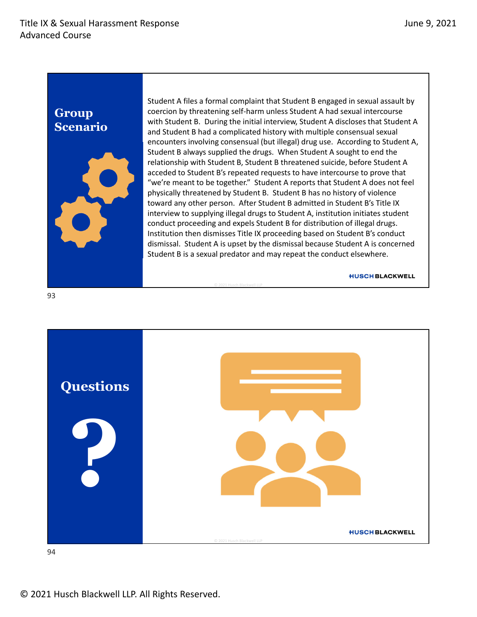#### **Group Scenario**



Student A files a formal complaint that Student B engaged in sexual assault by coercion by threatening self‐harm unless Student A had sexual intercourse with Student B. During the initial interview, Student A discloses that Student A and Student B had a complicated history with multiple consensual sexual encounters involving consensual (but illegal) drug use. According to Student A, Student B always supplied the drugs. When Student A sought to end the relationship with Student B, Student B threatened suicide, before Student A acceded to Student B's repeated requests to have intercourse to prove that "we're meant to be together." Student A reports that Student A does not feel physically threatened by Student B. Student B has no history of violence toward any other person. After Student B admitted in Student B's Title IX interview to supplying illegal drugs to Student A, institution initiates student conduct proceeding and expels Student B for distribution of illegal drugs. Institution then dismisses Title IX proceeding based on Student B's conduct dismissal. Student A is upset by the dismissal because Student A is concerned Student B is a sexual predator and may repeat the conduct elsewhere.

**HUSCH BLACKWELL** 



© 2021 Husch Blackwell LLP

94